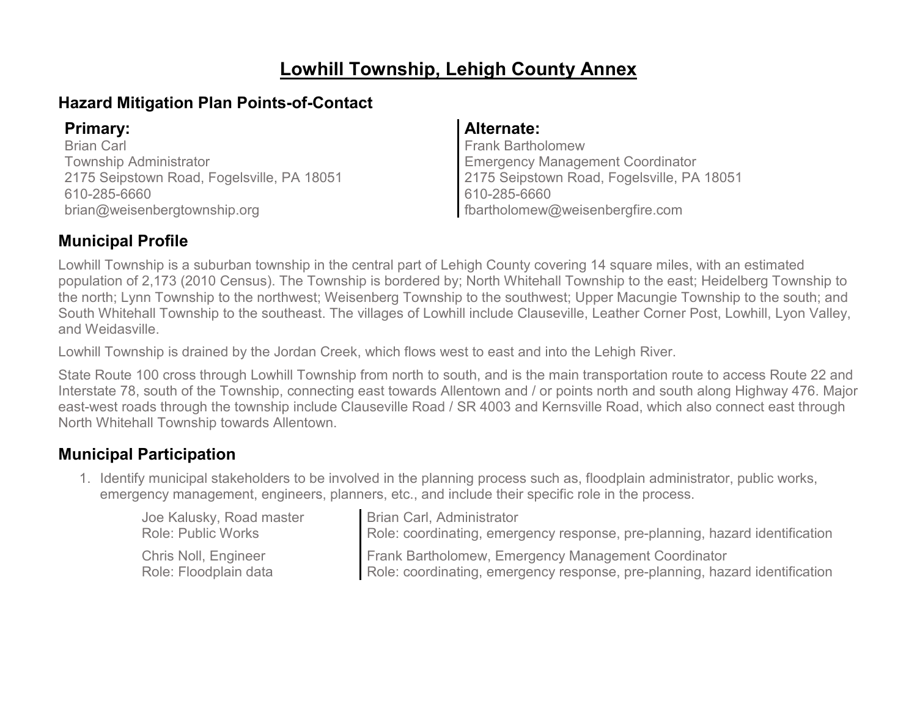# **Lowhill Township, Lehigh County Annex**

### **Hazard Mitigation Plan Points-of-Contact**

Brian Carl Township Administrator 2175 Seipstown Road, Fogelsville, PA 18051 610-285-6660 brian@weisenbergtownship.org

### **Primary: Alternate:**

Frank Bartholomew Emergency Management Coordinator 2175 Seipstown Road, Fogelsville, PA 18051 610-285-6660 fbartholomew@weisenbergfire.com

### **Municipal Profile**

Lowhill Township is a suburban township in the central part of Lehigh County covering 14 square miles, with an estimated population of 2,173 (2010 Census). The Township is bordered by; North Whitehall Township to the east; Heidelberg Township to the north; Lynn Township to the northwest; Weisenberg Township to the southwest; Upper Macungie Township to the south; and South Whitehall Township to the southeast. The villages of Lowhill include Clauseville, Leather Corner Post, Lowhill, Lyon Valley, and Weidasville.

Lowhill Township is drained by the Jordan Creek, which flows west to east and into the Lehigh River.

State Route 100 cross through Lowhill Township from north to south, and is the main transportation route to access Route 22 and Interstate 78, south of the Township, connecting east towards Allentown and / or points north and south along Highway 476. Major east-west roads through the township include Clauseville Road / SR 4003 and Kernsville Road, which also connect east through North Whitehall Township towards Allentown.

### **Municipal Participation**

1. Identify municipal stakeholders to be involved in the planning process such as, floodplain administrator, public works, emergency management, engineers, planners, etc., and include their specific role in the process.

| Joe Kalusky, Road master  | Brian Carl, Administrator                                                   |
|---------------------------|-----------------------------------------------------------------------------|
| <b>Role: Public Works</b> | Role: coordinating, emergency response, pre-planning, hazard identification |
| Chris Noll, Engineer      | Frank Bartholomew, Emergency Management Coordinator                         |
| Role: Floodplain data     | Role: coordinating, emergency response, pre-planning, hazard identification |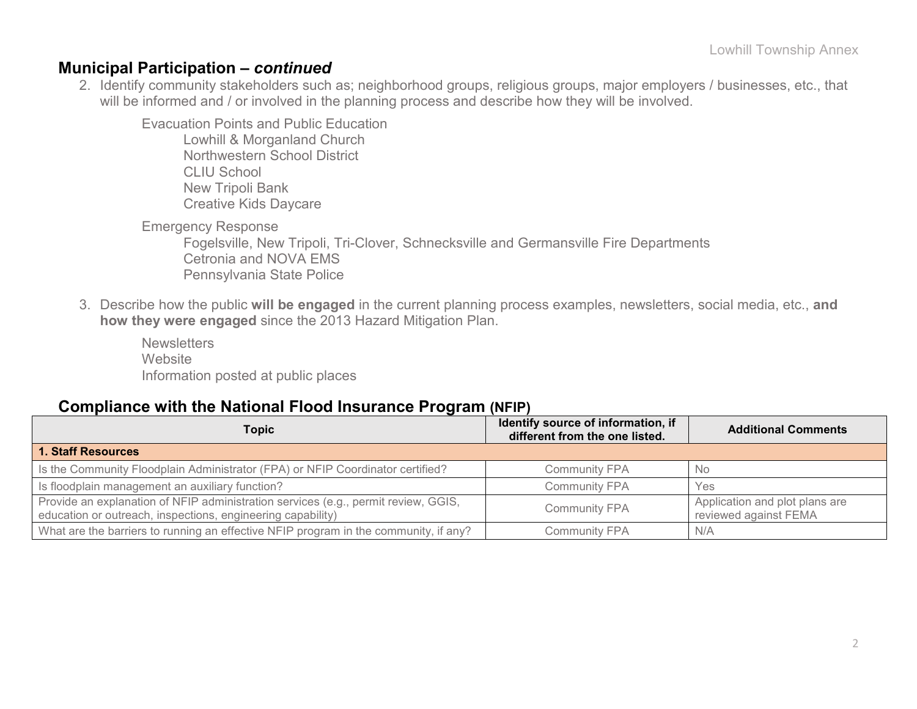#### **Municipal Participation –** *continued*

2. Identify community stakeholders such as; neighborhood groups, religious groups, major employers / businesses, etc., that will be informed and / or involved in the planning process and describe how they will be involved.

Evacuation Points and Public Education

Lowhill & Morganland Church Northwestern School District CLIU School New Tripoli Bank Creative Kids Daycare

Emergency Response

Fogelsville, New Tripoli, Tri-Clover, Schnecksville and Germansville Fire Departments Cetronia and NOVA EMS Pennsylvania State Police

3. Describe how the public **will be engaged** in the current planning process examples, newsletters, social media, etc., **and how they were engaged** since the 2013 Hazard Mitigation Plan.

**Newsletters Website** Information posted at public places

#### **Compliance with the National Flood Insurance Program (NFIP)**

| Topic                                                                                                                                             | Identify source of information, if<br>different from the one listed. | <b>Additional Comments</b>                              |
|---------------------------------------------------------------------------------------------------------------------------------------------------|----------------------------------------------------------------------|---------------------------------------------------------|
| <b>1. Staff Resources</b>                                                                                                                         |                                                                      |                                                         |
| Is the Community Floodplain Administrator (FPA) or NFIP Coordinator certified?                                                                    | <b>Community FPA</b>                                                 | - No                                                    |
| Is floodplain management an auxiliary function?                                                                                                   | <b>Community FPA</b>                                                 | Yes                                                     |
| Provide an explanation of NFIP administration services (e.g., permit review, GGIS,<br>education or outreach, inspections, engineering capability) | <b>Community FPA</b>                                                 | Application and plot plans are<br>reviewed against FEMA |
| What are the barriers to running an effective NFIP program in the community, if any?                                                              | <b>Community FPA</b>                                                 | N/A                                                     |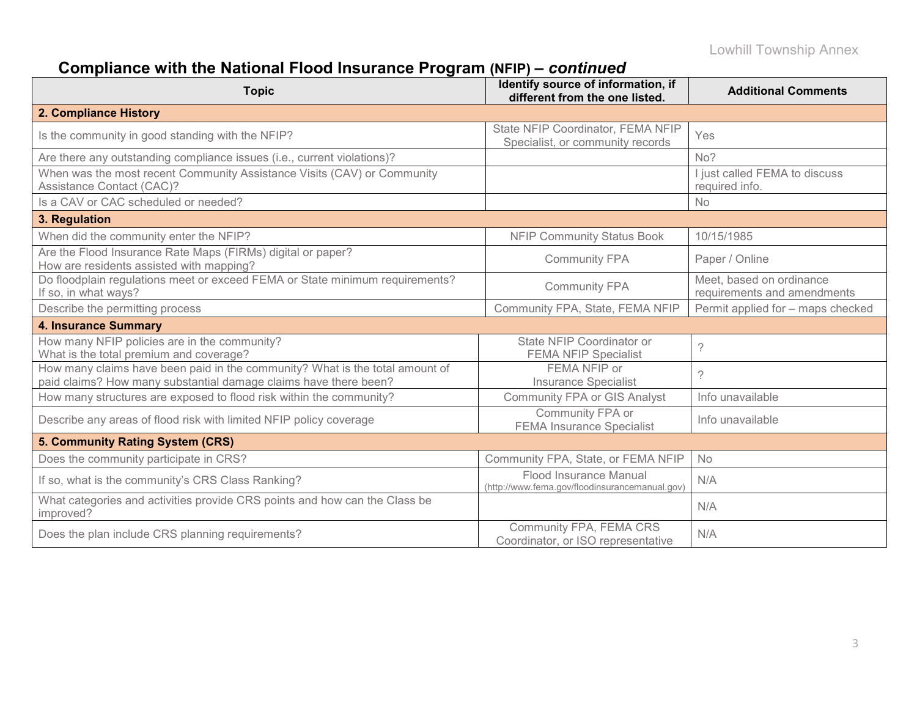# **Compliance with the National Flood Insurance Program (NFIP) –** *continued*

| <b>Topic</b>                                                                                                                                     | Identify source of information, if<br>different from the one listed.     | <b>Additional Comments</b>                              |
|--------------------------------------------------------------------------------------------------------------------------------------------------|--------------------------------------------------------------------------|---------------------------------------------------------|
| 2. Compliance History                                                                                                                            |                                                                          |                                                         |
| Is the community in good standing with the NFIP?                                                                                                 | State NFIP Coordinator, FEMA NFIP<br>Specialist, or community records    | Yes                                                     |
| Are there any outstanding compliance issues (i.e., current violations)?                                                                          |                                                                          | No?                                                     |
| When was the most recent Community Assistance Visits (CAV) or Community<br>Assistance Contact (CAC)?                                             |                                                                          | I just called FEMA to discuss<br>required info.         |
| Is a CAV or CAC scheduled or needed?                                                                                                             |                                                                          | <b>No</b>                                               |
| 3. Regulation                                                                                                                                    |                                                                          |                                                         |
| When did the community enter the NFIP?                                                                                                           | <b>NFIP Community Status Book</b>                                        | 10/15/1985                                              |
| Are the Flood Insurance Rate Maps (FIRMs) digital or paper?<br>How are residents assisted with mapping?                                          | <b>Community FPA</b>                                                     | Paper / Online                                          |
| Do floodplain regulations meet or exceed FEMA or State minimum requirements?<br>If so, in what ways?                                             | <b>Community FPA</b>                                                     | Meet, based on ordinance<br>requirements and amendments |
| Describe the permitting process                                                                                                                  | Community FPA, State, FEMA NFIP                                          | Permit applied for - maps checked                       |
| <b>4. Insurance Summary</b>                                                                                                                      |                                                                          |                                                         |
| How many NFIP policies are in the community?<br>What is the total premium and coverage?                                                          | State NFIP Coordinator or<br><b>FEMA NFIP Specialist</b>                 | ?                                                       |
| How many claims have been paid in the community? What is the total amount of<br>paid claims? How many substantial damage claims have there been? | FEMA NFIP or<br><b>Insurance Specialist</b>                              | $\tilde{?}$                                             |
| How many structures are exposed to flood risk within the community?                                                                              | <b>Community FPA or GIS Analyst</b>                                      | Info unavailable                                        |
| Describe any areas of flood risk with limited NFIP policy coverage                                                                               | Community FPA or<br><b>FEMA Insurance Specialist</b>                     | Info unavailable                                        |
| 5. Community Rating System (CRS)                                                                                                                 |                                                                          |                                                         |
| Does the community participate in CRS?                                                                                                           | Community FPA, State, or FEMA NFIP                                       | <b>No</b>                                               |
| If so, what is the community's CRS Class Ranking?                                                                                                | Flood Insurance Manual<br>(http://www.fema.gov/floodinsurancemanual.gov) | N/A                                                     |
| What categories and activities provide CRS points and how can the Class be<br>improved?                                                          |                                                                          | N/A                                                     |
| Does the plan include CRS planning requirements?                                                                                                 | Community FPA, FEMA CRS<br>Coordinator, or ISO representative            | N/A                                                     |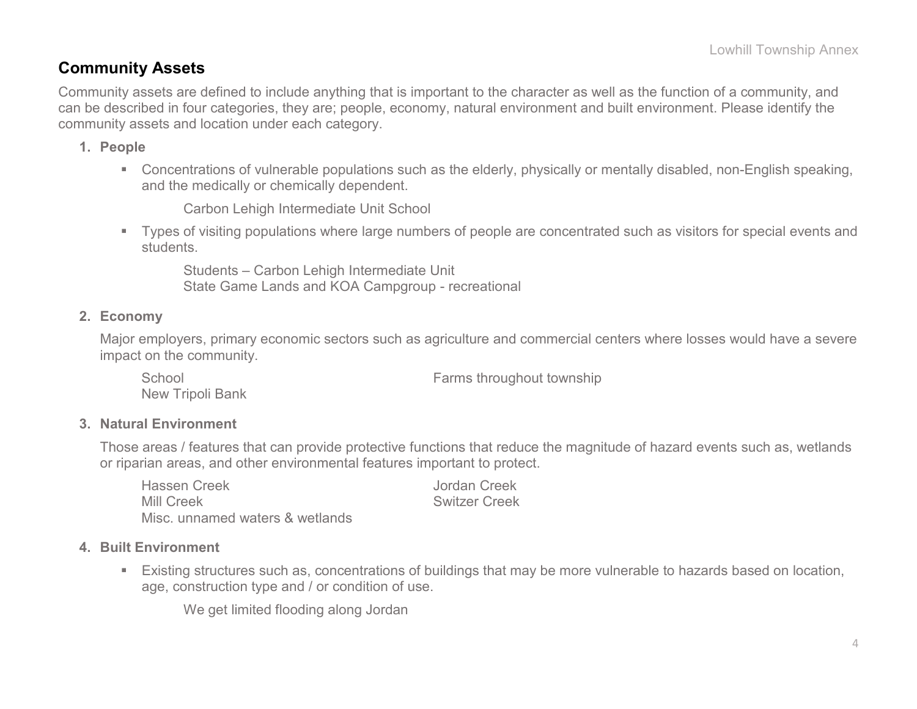### **Community Assets**

Community assets are defined to include anything that is important to the character as well as the function of a community, and can be described in four categories, they are; people, economy, natural environment and built environment. Please identify the community assets and location under each category.

#### **1. People**

 Concentrations of vulnerable populations such as the elderly, physically or mentally disabled, non-English speaking, and the medically or chemically dependent.

Carbon Lehigh Intermediate Unit School

 Types of visiting populations where large numbers of people are concentrated such as visitors for special events and students.

Students – Carbon Lehigh Intermediate Unit State Game Lands and KOA Campgroup - recreational

#### **2. Economy**

Major employers, primary economic sectors such as agriculture and commercial centers where losses would have a severe impact on the community.

School **Farms** throughout township New Tripoli Bank

#### **3. Natural Environment**

Those areas / features that can provide protective functions that reduce the magnitude of hazard events such as, wetlands or riparian areas, and other environmental features important to protect.

| <b>Hassen Creek</b>             | Jordan Creek         |
|---------------------------------|----------------------|
| <b>Mill Creek</b>               | <b>Switzer Creek</b> |
| Misc. unnamed waters & wetlands |                      |

#### **4. Built Environment**

 Existing structures such as, concentrations of buildings that may be more vulnerable to hazards based on location, age, construction type and / or condition of use.

We get limited flooding along Jordan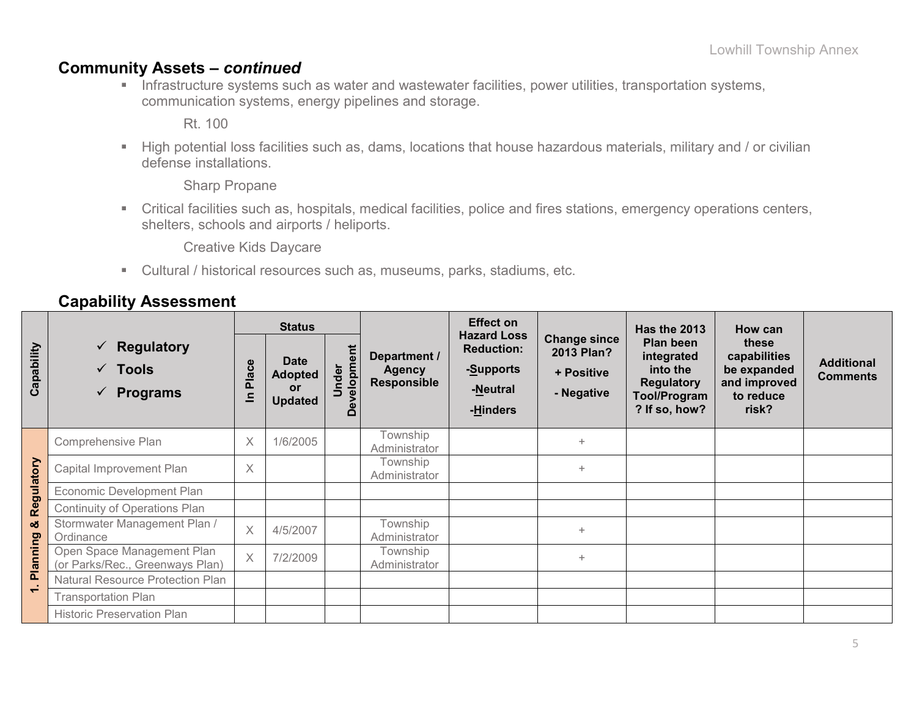### **Community Assets –** *continued*

**Infrastructure systems such as water and wastewater facilities, power utilities, transportation systems,** communication systems, energy pipelines and storage.

Rt. 100

High potential loss facilities such as, dams, locations that house hazardous materials, military and / or civilian defense installations.

Sharp Propane

 Critical facilities such as, hospitals, medical facilities, police and fires stations, emergency operations centers, shelters, schools and airports / heliports.

Creative Kids Daycare

Cultural / historical resources such as, museums, parks, stadiums, etc.

### **Capability Assessment**

|            |                                                                        | <b>Status</b>                          |                                                       |                            |                                                     | <b>Effect on</b>                                                             |                                                                      | <b>Has the 2013</b>                                                                       | How can                                                                    |                                      |
|------------|------------------------------------------------------------------------|----------------------------------------|-------------------------------------------------------|----------------------------|-----------------------------------------------------|------------------------------------------------------------------------------|----------------------------------------------------------------------|-------------------------------------------------------------------------------------------|----------------------------------------------------------------------------|--------------------------------------|
| Capability | $\checkmark$ Regulatory<br>$\checkmark$ Tools<br>$\checkmark$ Programs | Φ<br>$rac{c}{a}$<br>Δ.<br>$\mathbf{a}$ | <b>Date</b><br><b>Adopted</b><br>or<br><b>Updated</b> | elopment<br>nder<br>っ<br>۵ | Department /<br><b>Agency</b><br><b>Responsible</b> | <b>Hazard Loss</b><br><b>Reduction:</b><br>-Supports<br>-Neutral<br>-Hinders | <b>Change since</b><br><b>2013 Plan?</b><br>+ Positive<br>- Negative | Plan been<br>integrated<br>into the<br><b>Regulatory</b><br>Tool/Program<br>? If so, how? | these<br>capabilities<br>be expanded<br>and improved<br>to reduce<br>risk? | <b>Additional</b><br><b>Comments</b> |
|            | Comprehensive Plan                                                     | X                                      | 1/6/2005                                              |                            | Township<br>Administrator                           |                                                                              | $\ddot{}$                                                            |                                                                                           |                                                                            |                                      |
| Regulatory | Capital Improvement Plan                                               | X                                      |                                                       |                            | Township<br>Administrator                           |                                                                              | $+$                                                                  |                                                                                           |                                                                            |                                      |
|            | Economic Development Plan                                              |                                        |                                                       |                            |                                                     |                                                                              |                                                                      |                                                                                           |                                                                            |                                      |
|            | Continuity of Operations Plan                                          |                                        |                                                       |                            |                                                     |                                                                              |                                                                      |                                                                                           |                                                                            |                                      |
| ఱ          | Stormwater Management Plan /<br>Ordinance                              | $\times$                               | 4/5/2007                                              |                            | Township<br>Administrator                           |                                                                              | $+$                                                                  |                                                                                           |                                                                            |                                      |
| Planning   | Open Space Management Plan<br>(or Parks/Rec., Greenways Plan)          | $\times$                               | 7/2/2009                                              |                            | Township<br>Administrator                           |                                                                              | $\ddot{}$                                                            |                                                                                           |                                                                            |                                      |
| $\div$     | <b>Natural Resource Protection Plan</b>                                |                                        |                                                       |                            |                                                     |                                                                              |                                                                      |                                                                                           |                                                                            |                                      |
|            | <b>Transportation Plan</b>                                             |                                        |                                                       |                            |                                                     |                                                                              |                                                                      |                                                                                           |                                                                            |                                      |
|            | <b>Historic Preservation Plan</b>                                      |                                        |                                                       |                            |                                                     |                                                                              |                                                                      |                                                                                           |                                                                            |                                      |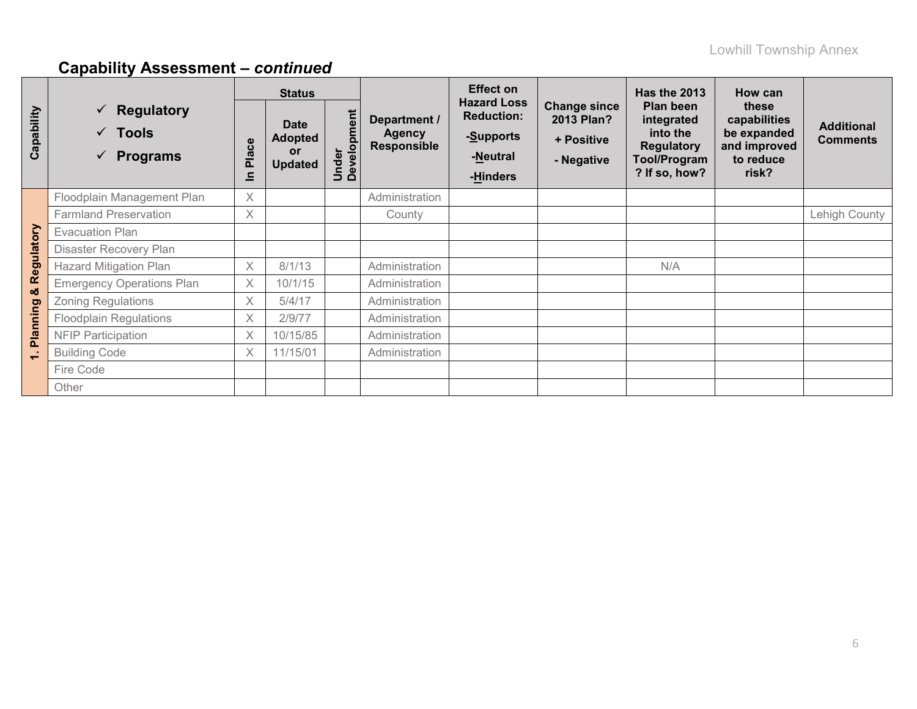# **Capability Assessment –** *continued*

|                          |                                                                            | <b>Status</b> |                                                       |                      |                                              | <b>Effect on</b>                                                             |                                                               | <b>Has the 2013</b>                                                                       | How can                                                                    |                                      |
|--------------------------|----------------------------------------------------------------------------|---------------|-------------------------------------------------------|----------------------|----------------------------------------------|------------------------------------------------------------------------------|---------------------------------------------------------------|-------------------------------------------------------------------------------------------|----------------------------------------------------------------------------|--------------------------------------|
| Capability               | $\checkmark$ Regulatory<br><b>Tools</b><br>$\checkmark$<br><b>Programs</b> | Place<br>드    | <b>Date</b><br><b>Adopted</b><br>or<br><b>Updated</b> | Under<br>Development | Department /<br><b>Agency</b><br>Responsible | <b>Hazard Loss</b><br><b>Reduction:</b><br>-Supports<br>-Neutral<br>-Hinders | <b>Change since</b><br>2013 Plan?<br>+ Positive<br>- Negative | Plan been<br>integrated<br>into the<br><b>Regulatory</b><br>Tool/Program<br>? If so, how? | these<br>capabilities<br>be expanded<br>and improved<br>to reduce<br>risk? | <b>Additional</b><br><b>Comments</b> |
|                          | Floodplain Management Plan                                                 | $\times$      |                                                       |                      | Administration                               |                                                                              |                                                               |                                                                                           |                                                                            |                                      |
|                          | <b>Farmland Preservation</b>                                               | $\times$      |                                                       |                      | County                                       |                                                                              |                                                               |                                                                                           |                                                                            | Lehigh County                        |
|                          | <b>Evacuation Plan</b>                                                     |               |                                                       |                      |                                              |                                                                              |                                                               |                                                                                           |                                                                            |                                      |
|                          | Disaster Recovery Plan                                                     |               |                                                       |                      |                                              |                                                                              |                                                               |                                                                                           |                                                                            |                                      |
| Regulatory               | <b>Hazard Mitigation Plan</b>                                              | $\times$      | 8/1/13                                                |                      | Administration                               |                                                                              |                                                               | N/A                                                                                       |                                                                            |                                      |
| ಯ                        | <b>Emergency Operations Plan</b>                                           | $\times$      | 10/1/15                                               |                      | Administration                               |                                                                              |                                                               |                                                                                           |                                                                            |                                      |
|                          | <b>Zoning Regulations</b>                                                  | $\times$      | 5/4/17                                                |                      | Administration                               |                                                                              |                                                               |                                                                                           |                                                                            |                                      |
| Planning                 | <b>Floodplain Regulations</b>                                              | $\times$      | 2/9/77                                                |                      | Administration                               |                                                                              |                                                               |                                                                                           |                                                                            |                                      |
|                          | <b>NFIP Participation</b>                                                  | $\times$      | 10/15/85                                              |                      | Administration                               |                                                                              |                                                               |                                                                                           |                                                                            |                                      |
| $\overline{\phantom{0}}$ | <b>Building Code</b>                                                       | $\times$      | 11/15/01                                              |                      | Administration                               |                                                                              |                                                               |                                                                                           |                                                                            |                                      |
|                          | Fire Code                                                                  |               |                                                       |                      |                                              |                                                                              |                                                               |                                                                                           |                                                                            |                                      |
|                          | Other                                                                      |               |                                                       |                      |                                              |                                                                              |                                                               |                                                                                           |                                                                            |                                      |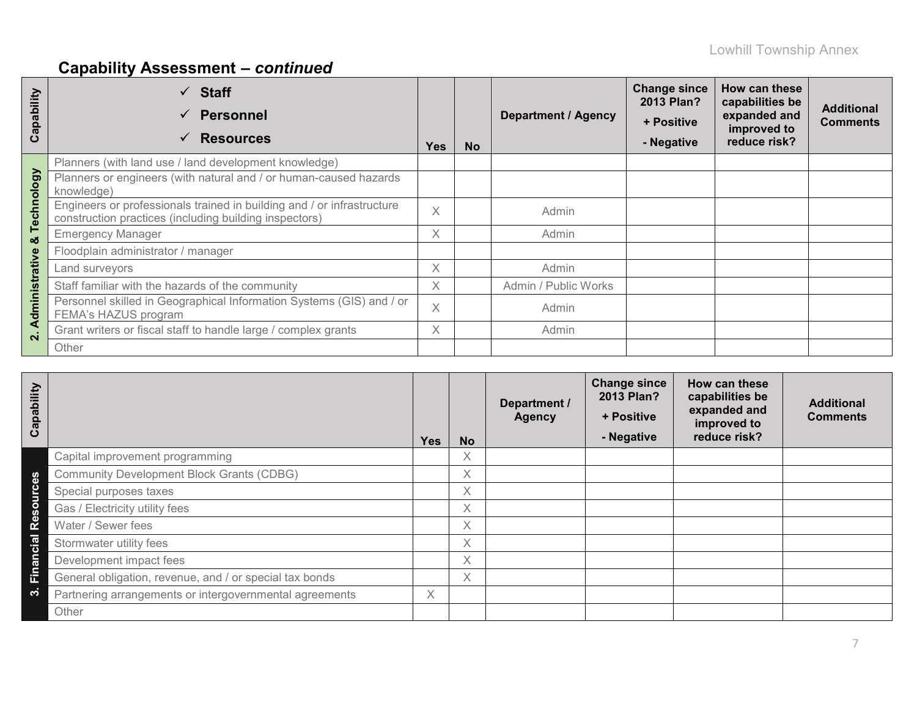# **Capability Assessment –** *continued*

| apability<br>ပ     | $\checkmark$ Staff<br><b>Personnel</b><br>$\checkmark$<br><b>Resources</b><br>$\checkmark$                                       | <b>Yes</b> | <b>No</b> | <b>Department / Agency</b> | <b>Change since</b><br>2013 Plan?<br>+ Positive<br>- Negative | How can these<br>capabilities be<br>expanded and<br>improved to<br>reduce risk? | <b>Additional</b><br><b>Comments</b> |
|--------------------|----------------------------------------------------------------------------------------------------------------------------------|------------|-----------|----------------------------|---------------------------------------------------------------|---------------------------------------------------------------------------------|--------------------------------------|
|                    | Planners (with land use / land development knowledge)                                                                            |            |           |                            |                                                               |                                                                                 |                                      |
|                    | Planners or engineers (with natural and / or human-caused hazards<br>knowledge)                                                  |            |           |                            |                                                               |                                                                                 |                                      |
| Technology         | Engineers or professionals trained in building and / or infrastructure<br>construction practices (including building inspectors) | $\times$   |           | Admin                      |                                                               |                                                                                 |                                      |
| οð                 | <b>Emergency Manager</b>                                                                                                         | X          |           | Admin                      |                                                               |                                                                                 |                                      |
|                    | Floodplain administrator / manager                                                                                               |            |           |                            |                                                               |                                                                                 |                                      |
|                    | Land surveyors                                                                                                                   |            |           | Admin                      |                                                               |                                                                                 |                                      |
|                    | Staff familiar with the hazards of the community                                                                                 |            |           | Admin / Public Works       |                                                               |                                                                                 |                                      |
| Administrative     | Personnel skilled in Geographical Information Systems (GIS) and / or<br>FEMA's HAZUS program                                     | $\times$   |           | Admin                      |                                                               |                                                                                 |                                      |
| $\dot{\mathbf{a}}$ | Grant writers or fiscal staff to handle large / complex grants                                                                   | $\times$   |           | Admin                      |                                                               |                                                                                 |                                      |
|                    | Other                                                                                                                            |            |           |                            |                                                               |                                                                                 |                                      |

| Capability                        |                                                         | <b>Yes</b> | <b>No</b> | Department /<br><b>Agency</b> | <b>Change since</b><br>2013 Plan?<br>+ Positive<br>- Negative | How can these<br>capabilities be<br>expanded and<br>improved to<br>reduce risk? | <b>Additional</b><br><b>Comments</b> |
|-----------------------------------|---------------------------------------------------------|------------|-----------|-------------------------------|---------------------------------------------------------------|---------------------------------------------------------------------------------|--------------------------------------|
|                                   | Capital improvement programming                         |            | X.        |                               |                                                               |                                                                                 |                                      |
| <b>S</b><br>$\mathbf{a}$          | <b>Community Development Block Grants (CDBG)</b>        |            | X.        |                               |                                                               |                                                                                 |                                      |
|                                   | Special purposes taxes                                  |            | X.        |                               |                                                               |                                                                                 |                                      |
| $\Omega$<br>$\boldsymbol{\omega}$ | Gas / Electricity utility fees                          |            | Χ         |                               |                                                               |                                                                                 |                                      |
| <b>Re</b>                         | Water / Sewer fees                                      |            | X.        |                               |                                                               |                                                                                 |                                      |
| cial                              | Stormwater utility fees                                 |            | X.        |                               |                                                               |                                                                                 |                                      |
| u<br>$\boldsymbol{\sigma}$        | Development impact fees                                 |            | X.        |                               |                                                               |                                                                                 |                                      |
| Ein                               | General obligation, revenue, and / or special tax bonds |            | X.        |                               |                                                               |                                                                                 |                                      |
| ო                                 | Partnering arrangements or intergovernmental agreements | X.         |           |                               |                                                               |                                                                                 |                                      |
|                                   | Other                                                   |            |           |                               |                                                               |                                                                                 |                                      |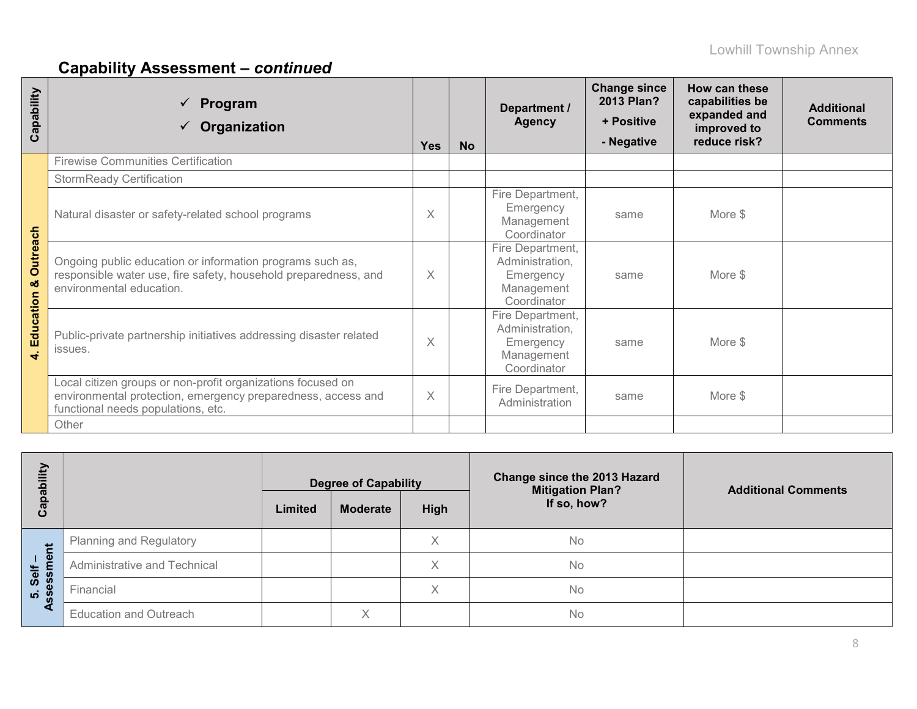# **Capability Assessment –** *continued*

| Capability                      | Program<br>$\checkmark$<br>Organization                                                                                                                           | <b>Yes</b> | <b>No</b> | Department /<br><b>Agency</b>                                                 | <b>Change since</b><br>2013 Plan?<br>+ Positive<br>- Negative | How can these<br>capabilities be<br>expanded and<br>improved to<br>reduce risk? | <b>Additional</b><br><b>Comments</b> |
|---------------------------------|-------------------------------------------------------------------------------------------------------------------------------------------------------------------|------------|-----------|-------------------------------------------------------------------------------|---------------------------------------------------------------|---------------------------------------------------------------------------------|--------------------------------------|
|                                 | <b>Firewise Communities Certification</b>                                                                                                                         |            |           |                                                                               |                                                               |                                                                                 |                                      |
|                                 | <b>StormReady Certification</b>                                                                                                                                   |            |           |                                                                               |                                                               |                                                                                 |                                      |
| Outreach<br>ಯ<br>Education<br>4 | Natural disaster or safety-related school programs                                                                                                                | $\times$   |           | Fire Department,<br>Emergency<br>Management<br>Coordinator                    | same                                                          | More \$                                                                         |                                      |
|                                 | Ongoing public education or information programs such as,<br>responsible water use, fire safety, household preparedness, and<br>environmental education.          | $\times$   |           | Fire Department,<br>Administration,<br>Emergency<br>Management<br>Coordinator | same                                                          | More \$                                                                         |                                      |
|                                 | Public-private partnership initiatives addressing disaster related<br>issues.                                                                                     | $\times$   |           | Fire Department,<br>Administration,<br>Emergency<br>Management<br>Coordinator | same                                                          | More \$                                                                         |                                      |
|                                 | Local citizen groups or non-profit organizations focused on<br>environmental protection, emergency preparedness, access and<br>functional needs populations, etc. | $\times$   |           | Fire Department,<br>Administration                                            | same                                                          | More \$                                                                         |                                      |
|                                 | Other                                                                                                                                                             |            |           |                                                                               |                                                               |                                                                                 |                                      |

| Έ<br>ပ               |                                | Limited | <b>Degree of Capability</b><br><b>High</b><br><b>Moderate</b> |   | Change since the 2013 Hazard<br><b>Mitigation Plan?</b><br>If so, how? | <b>Additional Comments</b> |
|----------------------|--------------------------------|---------|---------------------------------------------------------------|---|------------------------------------------------------------------------|----------------------------|
| だ                    | <b>Planning and Regulatory</b> |         |                                                               | X | No                                                                     |                            |
| ு                    | Administrative and Technical   |         |                                                               | X | No                                                                     |                            |
| Self<br>Ness<br>ທ່ ທ | Financial                      |         |                                                               | X | No                                                                     |                            |
|                      | <b>Education and Outreach</b>  |         | $\times$                                                      |   | No                                                                     |                            |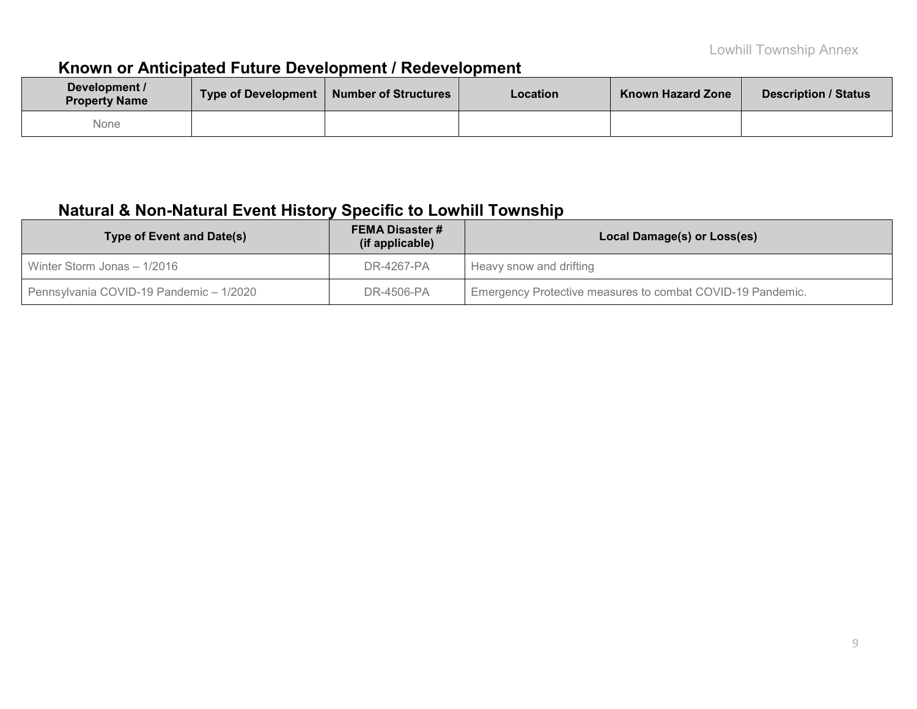## **Known or Anticipated Future Development / Redevelopment**

| Development /<br><b>Property Name</b> | Type of Development   Number of Structures | <b>Location</b> | <b>Known Hazard Zone</b> | <b>Description / Status</b> |
|---------------------------------------|--------------------------------------------|-----------------|--------------------------|-----------------------------|
| None                                  |                                            |                 |                          |                             |

## **Natural & Non-Natural Event History Specific to Lowhill Township**

| <b>Type of Event and Date(s)</b>        | <b>FEMA Disaster #</b><br>(if applicable) | Local Damage(s) or Loss(es)                                |
|-----------------------------------------|-------------------------------------------|------------------------------------------------------------|
| Winter Storm Jonas - 1/2016             | DR-4267-PA                                | Heavy snow and drifting                                    |
| Pennsylvania COVID-19 Pandemic - 1/2020 | DR-4506-PA                                | Emergency Protective measures to combat COVID-19 Pandemic. |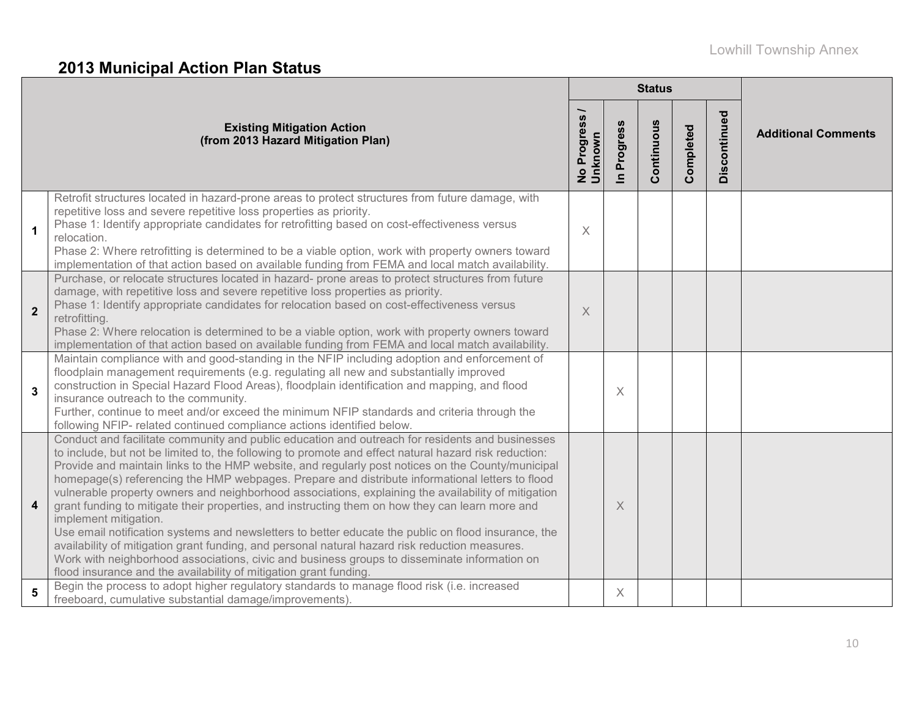# **2013 Municipal Action Plan Status**

|                         |                                                                                                                                                                                                                                                                                                                                                                                                                                                                                                                                                                                                                                                                                                                                                                                                                                                                                                                                                                                                                                   |                               |                          | <b>Status</b> |           |              |                            |
|-------------------------|-----------------------------------------------------------------------------------------------------------------------------------------------------------------------------------------------------------------------------------------------------------------------------------------------------------------------------------------------------------------------------------------------------------------------------------------------------------------------------------------------------------------------------------------------------------------------------------------------------------------------------------------------------------------------------------------------------------------------------------------------------------------------------------------------------------------------------------------------------------------------------------------------------------------------------------------------------------------------------------------------------------------------------------|-------------------------------|--------------------------|---------------|-----------|--------------|----------------------------|
|                         | <b>Existing Mitigation Action</b><br>(from 2013 Hazard Mitigation Plan)                                                                                                                                                                                                                                                                                                                                                                                                                                                                                                                                                                                                                                                                                                                                                                                                                                                                                                                                                           | —<br>No Progress /<br>Unknown | Progress<br>$\mathbf{r}$ | Continuous    | Completed | Discontinued | <b>Additional Comments</b> |
| 1                       | Retrofit structures located in hazard-prone areas to protect structures from future damage, with<br>repetitive loss and severe repetitive loss properties as priority.<br>Phase 1: Identify appropriate candidates for retrofitting based on cost-effectiveness versus<br>relocation.<br>Phase 2: Where retrofitting is determined to be a viable option, work with property owners toward<br>implementation of that action based on available funding from FEMA and local match availability.                                                                                                                                                                                                                                                                                                                                                                                                                                                                                                                                    | $\times$                      |                          |               |           |              |                            |
| $\overline{2}$          | Purchase, or relocate structures located in hazard- prone areas to protect structures from future<br>damage, with repetitive loss and severe repetitive loss properties as priority.<br>Phase 1: Identify appropriate candidates for relocation based on cost-effectiveness versus<br>retrofitting.<br>Phase 2: Where relocation is determined to be a viable option, work with property owners toward<br>implementation of that action based on available funding from FEMA and local match availability.                                                                                                                                                                                                                                                                                                                                                                                                                                                                                                                        | $\times$                      |                          |               |           |              |                            |
| 3                       | Maintain compliance with and good-standing in the NFIP including adoption and enforcement of<br>floodplain management requirements (e.g. regulating all new and substantially improved<br>construction in Special Hazard Flood Areas), floodplain identification and mapping, and flood<br>insurance outreach to the community.<br>Further, continue to meet and/or exceed the minimum NFIP standards and criteria through the<br>following NFIP- related continued compliance actions identified below.                                                                                                                                                                                                                                                                                                                                                                                                                                                                                                                          |                               | X                        |               |           |              |                            |
| $\overline{\mathbf{4}}$ | Conduct and facilitate community and public education and outreach for residents and businesses<br>to include, but not be limited to, the following to promote and effect natural hazard risk reduction:<br>Provide and maintain links to the HMP website, and regularly post notices on the County/municipal<br>homepage(s) referencing the HMP webpages. Prepare and distribute informational letters to flood<br>vulnerable property owners and neighborhood associations, explaining the availability of mitigation<br>grant funding to mitigate their properties, and instructing them on how they can learn more and<br>implement mitigation.<br>Use email notification systems and newsletters to better educate the public on flood insurance, the<br>availability of mitigation grant funding, and personal natural hazard risk reduction measures.<br>Work with neighborhood associations, civic and business groups to disseminate information on<br>flood insurance and the availability of mitigation grant funding. |                               | X                        |               |           |              |                            |
| 5                       | Begin the process to adopt higher regulatory standards to manage flood risk (i.e. increased<br>freeboard, cumulative substantial damage/improvements).                                                                                                                                                                                                                                                                                                                                                                                                                                                                                                                                                                                                                                                                                                                                                                                                                                                                            |                               | X                        |               |           |              |                            |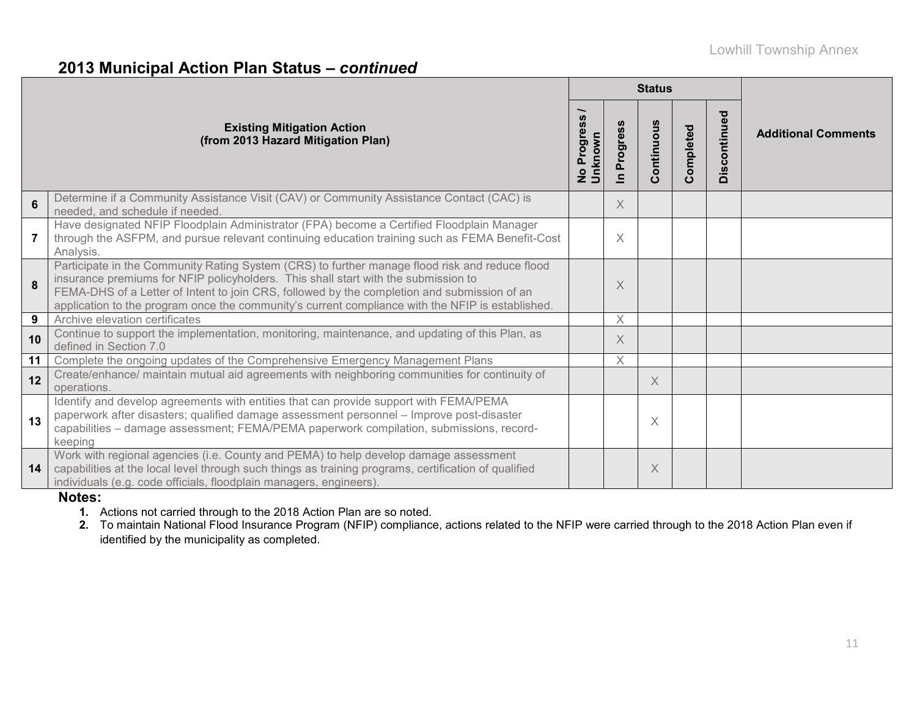### **2013 Municipal Action Plan Status –** *continued*

|    |                                                                                                                                                                                                                                                                                                                                                                                         |                                     |                            | <b>Status</b> |               |              |                            |  |
|----|-----------------------------------------------------------------------------------------------------------------------------------------------------------------------------------------------------------------------------------------------------------------------------------------------------------------------------------------------------------------------------------------|-------------------------------------|----------------------------|---------------|---------------|--------------|----------------------------|--|
|    | <b>Existing Mitigation Action</b><br>(from 2013 Hazard Mitigation Plan)                                                                                                                                                                                                                                                                                                                 | No Progress <sub>/</sub><br>Unknown | Progress<br>$\overline{=}$ | Continuous    | ompleted<br>Ŏ | Discontinued | <b>Additional Comments</b> |  |
| 6  | Determine if a Community Assistance Visit (CAV) or Community Assistance Contact (CAC) is<br>needed, and schedule if needed.                                                                                                                                                                                                                                                             |                                     | X                          |               |               |              |                            |  |
|    | Have designated NFIP Floodplain Administrator (FPA) become a Certified Floodplain Manager<br>through the ASFPM, and pursue relevant continuing education training such as FEMA Benefit-Cost<br>Analysis.                                                                                                                                                                                |                                     | $\times$                   |               |               |              |                            |  |
| 8  | Participate in the Community Rating System (CRS) to further manage flood risk and reduce flood<br>insurance premiums for NFIP policyholders. This shall start with the submission to<br>FEMA-DHS of a Letter of Intent to join CRS, followed by the completion and submission of an<br>application to the program once the community's current compliance with the NFIP is established. |                                     | $\times$                   |               |               |              |                            |  |
| 9  | Archive elevation certificates                                                                                                                                                                                                                                                                                                                                                          |                                     | X                          |               |               |              |                            |  |
| 10 | Continue to support the implementation, monitoring, maintenance, and updating of this Plan, as<br>defined in Section 7.0                                                                                                                                                                                                                                                                |                                     | $\times$                   |               |               |              |                            |  |
| 11 | Complete the ongoing updates of the Comprehensive Emergency Management Plans                                                                                                                                                                                                                                                                                                            |                                     | $\times$                   |               |               |              |                            |  |
| 12 | Create/enhance/ maintain mutual aid agreements with neighboring communities for continuity of<br>operations.                                                                                                                                                                                                                                                                            |                                     |                            | X             |               |              |                            |  |
| 13 | Identify and develop agreements with entities that can provide support with FEMA/PEMA<br>paperwork after disasters; qualified damage assessment personnel - Improve post-disaster<br>capabilities - damage assessment; FEMA/PEMA paperwork compilation, submissions, record-<br>keeping                                                                                                 |                                     |                            | X             |               |              |                            |  |
| 14 | Work with regional agencies (i.e. County and PEMA) to help develop damage assessment<br>capabilities at the local level through such things as training programs, certification of qualified<br>individuals (e.g. code officials, floodplain managers, engineers).                                                                                                                      |                                     |                            | X             |               |              |                            |  |

#### **Notes:**

**1.** Actions not carried through to the 2018 Action Plan are so noted.

**2.** To maintain National Flood Insurance Program (NFIP) compliance, actions related to the NFIP were carried through to the 2018 Action Plan even if identified by the municipality as completed.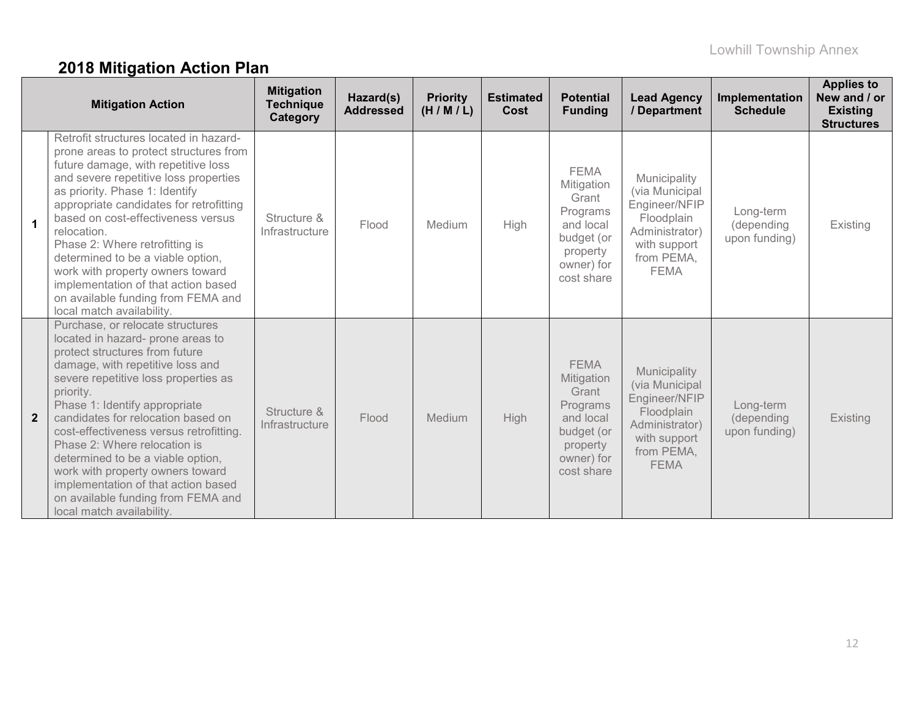# **2018 Mitigation Action Plan**

|                | <b>Mitigation Action</b>                                                                                                                                                                                                                                                                                                                                                                                                                                                                                                              | <b>Mitigation</b><br><b>Technique</b><br>Category | Hazard(s)<br><b>Addressed</b> | <b>Priority</b><br>(H/M/L) | <b>Estimated</b><br>Cost | <b>Potential</b><br><b>Funding</b>                                                                                | <b>Lead Agency</b><br>/ Department                                                                                           | Implementation<br><b>Schedule</b>        | <b>Applies to</b><br>New and / or<br><b>Existing</b><br><b>Structures</b> |
|----------------|---------------------------------------------------------------------------------------------------------------------------------------------------------------------------------------------------------------------------------------------------------------------------------------------------------------------------------------------------------------------------------------------------------------------------------------------------------------------------------------------------------------------------------------|---------------------------------------------------|-------------------------------|----------------------------|--------------------------|-------------------------------------------------------------------------------------------------------------------|------------------------------------------------------------------------------------------------------------------------------|------------------------------------------|---------------------------------------------------------------------------|
| $\mathbf 1$    | Retrofit structures located in hazard-<br>prone areas to protect structures from<br>future damage, with repetitive loss<br>and severe repetitive loss properties<br>as priority. Phase 1: Identify<br>appropriate candidates for retrofitting<br>based on cost-effectiveness versus<br>relocation.<br>Phase 2: Where retrofitting is<br>determined to be a viable option,<br>work with property owners toward<br>implementation of that action based<br>on available funding from FEMA and<br>local match availability.               | Structure &<br>Infrastructure                     | Flood                         | Medium                     | High                     | <b>FEMA</b><br>Mitigation<br>Grant<br>Programs<br>and local<br>budget (or<br>property<br>owner) for<br>cost share | Municipality<br>(via Municipal<br>Engineer/NFIP<br>Floodplain<br>Administrator)<br>with support<br>from PEMA,<br><b>FEMA</b> | Long-term<br>(depending<br>upon funding) | Existing                                                                  |
| $\overline{2}$ | Purchase, or relocate structures<br>located in hazard- prone areas to<br>protect structures from future<br>damage, with repetitive loss and<br>severe repetitive loss properties as<br>priority.<br>Phase 1: Identify appropriate<br>candidates for relocation based on<br>cost-effectiveness versus retrofitting.<br>Phase 2: Where relocation is<br>determined to be a viable option,<br>work with property owners toward<br>implementation of that action based<br>on available funding from FEMA and<br>local match availability. | Structure &<br>Infrastructure                     | Flood                         | Medium                     | <b>High</b>              | <b>FEMA</b><br>Mitigation<br>Grant<br>Programs<br>and local<br>budget (or<br>property<br>owner) for<br>cost share | Municipality<br>(via Municipal<br>Engineer/NFIP<br>Floodplain<br>Administrator)<br>with support<br>from PEMA,<br><b>FEMA</b> | Long-term<br>(depending<br>upon funding) | <b>Existing</b>                                                           |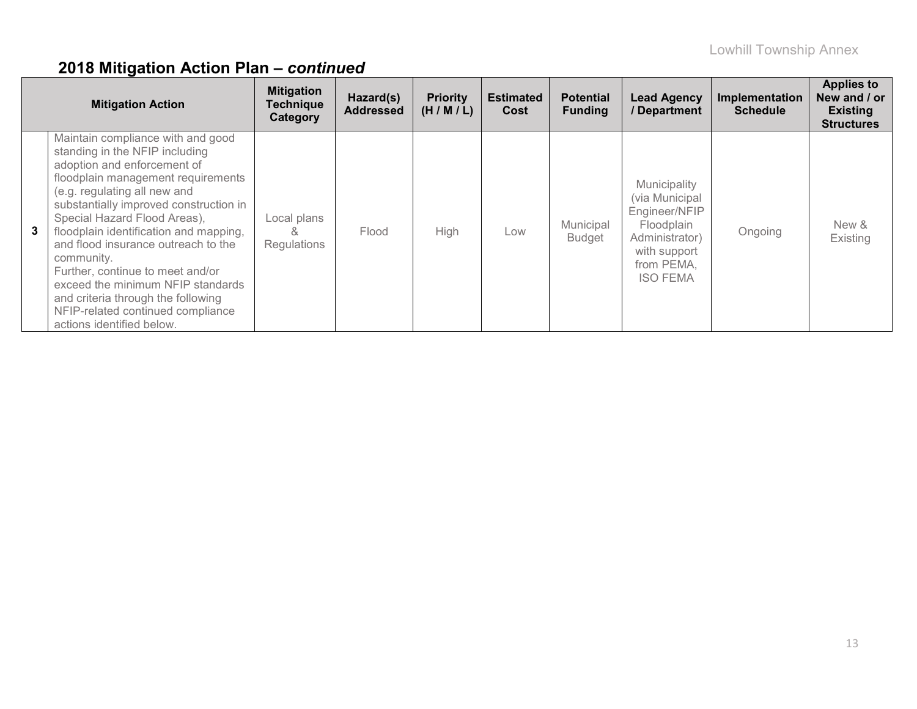|                | <b>Mitigation Action</b>                                                                                                                                                                                                                                                                                                                                                                                                                                                                                                           | <b>Mitigation</b><br><b>Technique</b><br>Category | Hazard(s)<br><b>Addressed</b> | <b>Priority</b><br>(H/M/L) | <b>Estimated</b><br>Cost | <b>Potential</b><br><b>Funding</b> | <b>Lead Agency</b><br>/ Department                                                                                               | Implementation<br><b>Schedule</b> | <b>Applies to</b><br>New and / or<br><b>Existing</b><br><b>Structures</b> |
|----------------|------------------------------------------------------------------------------------------------------------------------------------------------------------------------------------------------------------------------------------------------------------------------------------------------------------------------------------------------------------------------------------------------------------------------------------------------------------------------------------------------------------------------------------|---------------------------------------------------|-------------------------------|----------------------------|--------------------------|------------------------------------|----------------------------------------------------------------------------------------------------------------------------------|-----------------------------------|---------------------------------------------------------------------------|
| 3 <sup>1</sup> | Maintain compliance with and good<br>standing in the NFIP including<br>adoption and enforcement of<br>floodplain management requirements<br>(e.g. regulating all new and<br>substantially improved construction in<br>Special Hazard Flood Areas),<br>floodplain identification and mapping,<br>and flood insurance outreach to the<br>community.<br>Further, continue to meet and/or<br>exceed the minimum NFIP standards<br>and criteria through the following<br>NFIP-related continued compliance<br>actions identified below. | Local plans<br>×.<br>Regulations                  | Flood                         | High                       | Low                      | Municipal<br><b>Budget</b>         | Municipality<br>(via Municipal<br>Engineer/NFIP<br>Floodplain<br>Administrator)<br>with support<br>from PEMA,<br><b>ISO FEMA</b> | Ongoing                           | New &<br>Existing                                                         |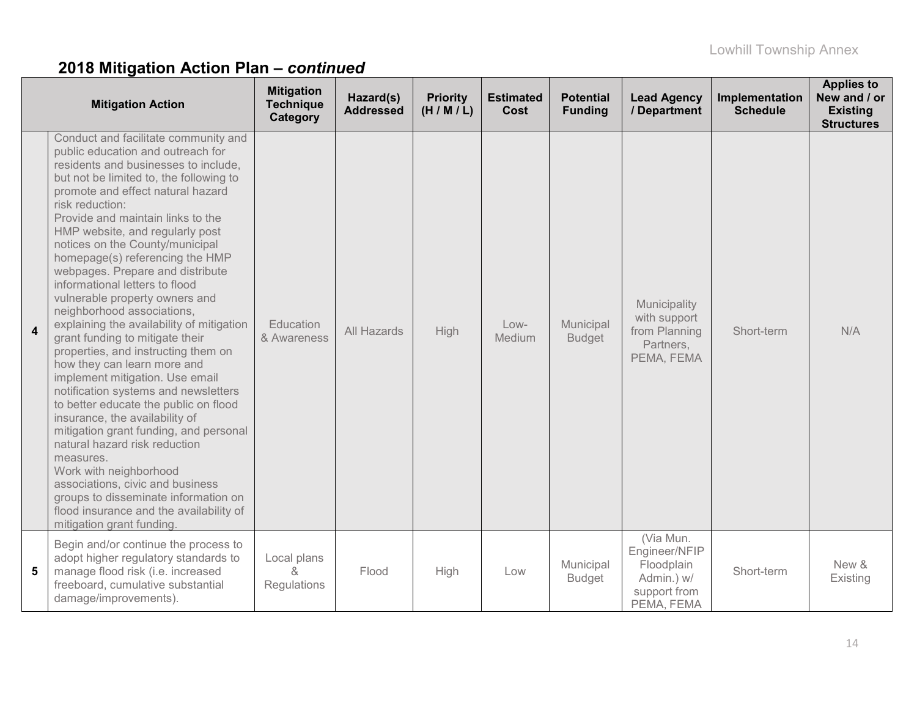|                | <b>Mitigation Action</b>                                                                                                                                                                                                                                                                                                                                                                                                                                                                                                                                                                                                                                                                                                                                                                                                                                                                                                                                                                                                                                                                   | <b>Mitigation</b><br><b>Technique</b><br>Category | Hazard(s)<br><b>Addressed</b> | <b>Priority</b><br>(H/M/L) | <b>Estimated</b><br>Cost | <b>Potential</b><br><b>Funding</b> | <b>Lead Agency</b><br>/ Department                                                   | Implementation<br><b>Schedule</b> | <b>Applies to</b><br>New and / or<br><b>Existing</b><br><b>Structures</b> |
|----------------|--------------------------------------------------------------------------------------------------------------------------------------------------------------------------------------------------------------------------------------------------------------------------------------------------------------------------------------------------------------------------------------------------------------------------------------------------------------------------------------------------------------------------------------------------------------------------------------------------------------------------------------------------------------------------------------------------------------------------------------------------------------------------------------------------------------------------------------------------------------------------------------------------------------------------------------------------------------------------------------------------------------------------------------------------------------------------------------------|---------------------------------------------------|-------------------------------|----------------------------|--------------------------|------------------------------------|--------------------------------------------------------------------------------------|-----------------------------------|---------------------------------------------------------------------------|
| $\overline{4}$ | Conduct and facilitate community and<br>public education and outreach for<br>residents and businesses to include,<br>but not be limited to, the following to<br>promote and effect natural hazard<br>risk reduction:<br>Provide and maintain links to the<br>HMP website, and regularly post<br>notices on the County/municipal<br>homepage(s) referencing the HMP<br>webpages. Prepare and distribute<br>informational letters to flood<br>vulnerable property owners and<br>neighborhood associations,<br>explaining the availability of mitigation<br>grant funding to mitigate their<br>properties, and instructing them on<br>how they can learn more and<br>implement mitigation. Use email<br>notification systems and newsletters<br>to better educate the public on flood<br>insurance, the availability of<br>mitigation grant funding, and personal<br>natural hazard risk reduction<br>measures.<br>Work with neighborhood<br>associations, civic and business<br>groups to disseminate information on<br>flood insurance and the availability of<br>mitigation grant funding. | Education<br>& Awareness                          | All Hazards                   | High                       | $Low-$<br>Medium         | Municipal<br><b>Budget</b>         | Municipality<br>with support<br>from Planning<br>Partners,<br>PEMA, FEMA             | Short-term                        | N/A                                                                       |
| 5              | Begin and/or continue the process to<br>adopt higher regulatory standards to<br>manage flood risk (i.e. increased<br>freeboard, cumulative substantial<br>damage/improvements).                                                                                                                                                                                                                                                                                                                                                                                                                                                                                                                                                                                                                                                                                                                                                                                                                                                                                                            | Local plans<br><sub>R</sub><br>Regulations        | Flood                         | High                       | Low                      | Municipal<br><b>Budget</b>         | (Via Mun.<br>Engineer/NFIP<br>Floodplain<br>Admin.) w/<br>support from<br>PEMA, FEMA | Short-term                        | New &<br>Existing                                                         |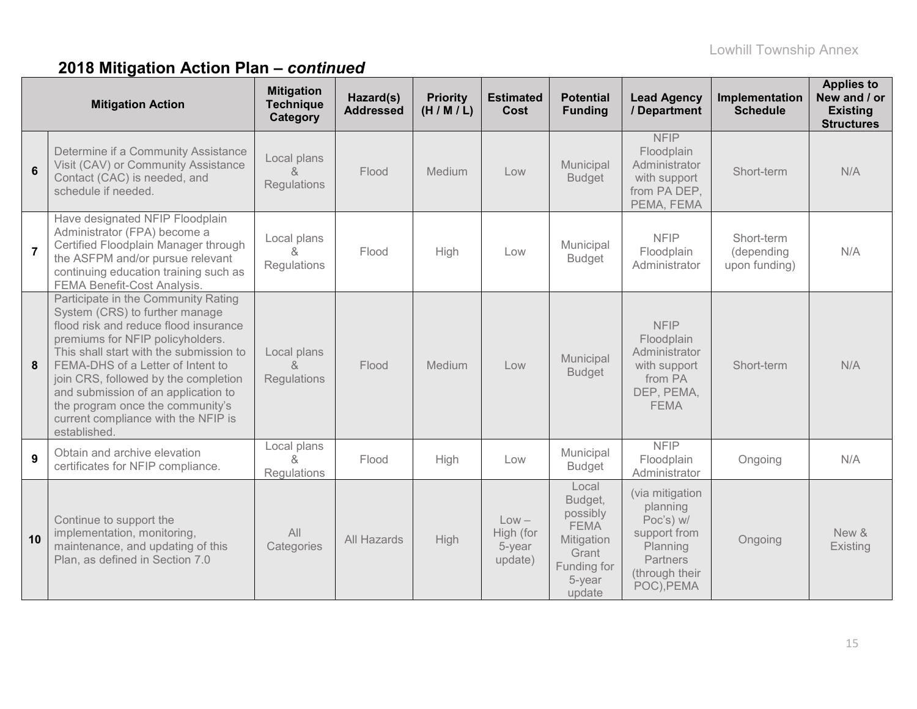|                | <b>Mitigation Action</b>                                                                                                                                                                                                                                                                                                                                                                                     | <b>Mitigation</b><br><b>Technique</b><br>Category | Hazard(s)<br><b>Addressed</b> | <b>Priority</b><br>(H/M/L) | <b>Estimated</b><br>Cost                  | <b>Potential</b><br><b>Funding</b>                                                                    | <b>Lead Agency</b><br>/ Department                                                                               | Implementation<br><b>Schedule</b>         | <b>Applies to</b><br>New and / or<br><b>Existing</b><br><b>Structures</b> |
|----------------|--------------------------------------------------------------------------------------------------------------------------------------------------------------------------------------------------------------------------------------------------------------------------------------------------------------------------------------------------------------------------------------------------------------|---------------------------------------------------|-------------------------------|----------------------------|-------------------------------------------|-------------------------------------------------------------------------------------------------------|------------------------------------------------------------------------------------------------------------------|-------------------------------------------|---------------------------------------------------------------------------|
| $6\phantom{a}$ | Determine if a Community Assistance<br>Visit (CAV) or Community Assistance<br>Contact (CAC) is needed, and<br>schedule if needed.                                                                                                                                                                                                                                                                            | Local plans<br>&<br>Regulations                   | Flood                         | <b>Medium</b>              | Low                                       | Municipal<br><b>Budget</b>                                                                            | <b>NFIP</b><br>Floodplain<br>Administrator<br>with support<br>from PA DEP,<br>PEMA, FEMA                         | Short-term                                | N/A                                                                       |
| $\overline{7}$ | Have designated NFIP Floodplain<br>Administrator (FPA) become a<br>Certified Floodplain Manager through<br>the ASFPM and/or pursue relevant<br>continuing education training such as<br>FEMA Benefit-Cost Analysis.                                                                                                                                                                                          | Local plans<br>&<br>Regulations                   | Flood                         | High                       | Low                                       | Municipal<br><b>Budget</b>                                                                            | <b>NFIP</b><br>Floodplain<br>Administrator                                                                       | Short-term<br>(depending<br>upon funding) | N/A                                                                       |
| 8              | Participate in the Community Rating<br>System (CRS) to further manage<br>flood risk and reduce flood insurance<br>premiums for NFIP policyholders.<br>This shall start with the submission to<br>FEMA-DHS of a Letter of Intent to<br>join CRS, followed by the completion<br>and submission of an application to<br>the program once the community's<br>current compliance with the NFIP is<br>established. | Local plans<br>$\kappa$<br>Regulations            | Flood                         | Medium                     | Low                                       | Municipal<br><b>Budget</b>                                                                            | <b>NFIP</b><br>Floodplain<br>Administrator<br>with support<br>from PA<br>DEP, PEMA,<br><b>FEMA</b>               | Short-term                                | N/A                                                                       |
| 9              | Obtain and archive elevation<br>certificates for NFIP compliance.                                                                                                                                                                                                                                                                                                                                            | Local plans<br>&<br>Regulations                   | Flood                         | High                       | Low                                       | Municipal<br><b>Budget</b>                                                                            | <b>NFIP</b><br>Floodplain<br>Administrator                                                                       | Ongoing                                   | N/A                                                                       |
| 10             | Continue to support the<br>implementation, monitoring,<br>maintenance, and updating of this<br>Plan, as defined in Section 7.0                                                                                                                                                                                                                                                                               | All<br>Categories                                 | All Hazards                   | <b>High</b>                | $Low -$<br>High (for<br>5-year<br>update) | Local<br>Budget,<br>possibly<br><b>FEMA</b><br>Mitigation<br>Grant<br>Funding for<br>5-year<br>update | (via mitigation<br>planning<br>Poc's) w/<br>support from<br>Planning<br>Partners<br>(through their<br>POC), PEMA | Ongoing                                   | New &<br>Existing                                                         |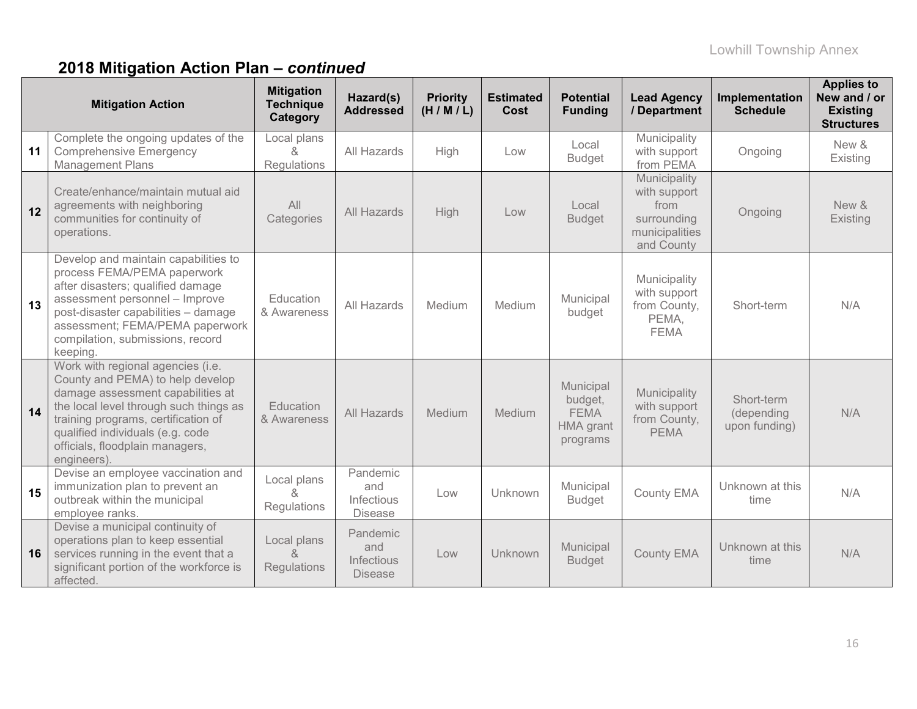|    | <b>Mitigation Action</b>                                                                                                                                                                                                                                                          | <b>Mitigation</b><br><b>Technique</b><br>Category | Hazard(s)<br><b>Addressed</b>                   | <b>Priority</b><br>(H/M/L) | <b>Estimated</b><br>Cost | <b>Potential</b><br><b>Funding</b>                           | <b>Lead Agency</b><br>/ Department                                                  | Implementation<br><b>Schedule</b>         | <b>Applies to</b><br>New and / or<br><b>Existing</b><br><b>Structures</b> |
|----|-----------------------------------------------------------------------------------------------------------------------------------------------------------------------------------------------------------------------------------------------------------------------------------|---------------------------------------------------|-------------------------------------------------|----------------------------|--------------------------|--------------------------------------------------------------|-------------------------------------------------------------------------------------|-------------------------------------------|---------------------------------------------------------------------------|
| 11 | Complete the ongoing updates of the<br><b>Comprehensive Emergency</b><br><b>Management Plans</b>                                                                                                                                                                                  | Local plans<br>&<br>Regulations                   | All Hazards                                     | High                       | Low                      | Local<br><b>Budget</b>                                       | Municipality<br>with support<br>from PEMA                                           | Ongoing                                   | New &<br>Existing                                                         |
| 12 | Create/enhance/maintain mutual aid<br>agreements with neighboring<br>communities for continuity of<br>operations.                                                                                                                                                                 | All<br>Categories                                 | All Hazards                                     | High                       | Low                      | Local<br><b>Budget</b>                                       | Municipality<br>with support<br>from<br>surrounding<br>municipalities<br>and County | Ongoing                                   | New &<br>Existing                                                         |
| 13 | Develop and maintain capabilities to<br>process FEMA/PEMA paperwork<br>after disasters; qualified damage<br>assessment personnel - Improve<br>post-disaster capabilities - damage<br>assessment; FEMA/PEMA paperwork<br>compilation, submissions, record<br>keeping.              | Education<br>& Awareness                          | All Hazards                                     | Medium                     | Medium                   | Municipal<br>budget                                          | Municipality<br>with support<br>from County,<br>PEMA,<br><b>FEMA</b>                | Short-term                                | N/A                                                                       |
| 14 | Work with regional agencies (i.e.<br>County and PEMA) to help develop<br>damage assessment capabilities at<br>the local level through such things as<br>training programs, certification of<br>qualified individuals (e.g. code<br>officials, floodplain managers,<br>engineers). | <b>Education</b><br>& Awareness                   | All Hazards                                     | Medium                     | Medium                   | Municipal<br>budget,<br><b>FEMA</b><br>HMA grant<br>programs | Municipality<br>with support<br>from County,<br><b>PEMA</b>                         | Short-term<br>(depending<br>upon funding) | N/A                                                                       |
| 15 | Devise an employee vaccination and<br>immunization plan to prevent an<br>outbreak within the municipal<br>employee ranks.                                                                                                                                                         | Local plans<br>$\kappa$<br>Regulations            | Pandemic<br>and<br>Infectious<br><b>Disease</b> | Low                        | Unknown                  | Municipal<br><b>Budget</b>                                   | <b>County EMA</b>                                                                   | Unknown at this<br>time                   | N/A                                                                       |
| 16 | Devise a municipal continuity of<br>operations plan to keep essential<br>services running in the event that a<br>significant portion of the workforce is<br>affected.                                                                                                             | Local plans<br>8<br>Regulations                   | Pandemic<br>and<br>Infectious<br><b>Disease</b> | Low                        | Unknown                  | Municipal<br><b>Budget</b>                                   | <b>County EMA</b>                                                                   | Unknown at this<br>time                   | N/A                                                                       |